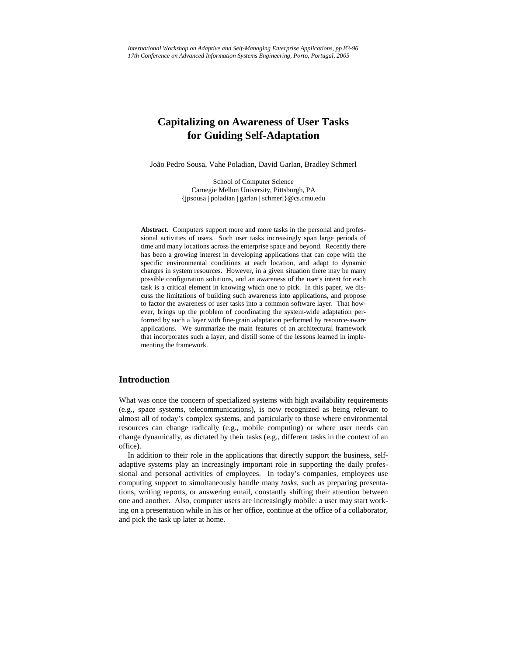# **Capitalizing on Awareness of User Tasks for Guiding Self-Adaptation**

João Pedro Sousa, Vahe Poladian, David Garlan, Bradley Schmerl

School of Computer Science Carnegie Mellon University, Pittsburgh, PA {jpsousa | poladian | garlan | schmerl}@cs.cmu.edu

**Abstract.** Computers support more and more tasks in the personal and professional activities of users. Such user tasks increasingly span large periods of time and many locations across the enterprise space and beyond. Recently there has been a growing interest in developing applications that can cope with the specific environmental conditions at each location, and adapt to dynamic changes in system resources. However, in a given situation there may be many possible configuration solutions, and an awareness of the user's intent for each task is a critical element in knowing which one to pick. In this paper, we discuss the limitations of building such awareness into applications, and propose to factor the awareness of user tasks into a common software layer. That however, brings up the problem of coordinating the system-wide adaptation performed by such a layer with fine-grain adaptation performed by resource-aware applications. We summarize the main features of an architectural framework that incorporates such a layer, and distill some of the lessons learned in implementing the framework.

# **Introduction**

What was once the concern of specialized systems with high availability requirements (e.g., space systems, telecommunications), is now recognized as being relevant to almost all of today's complex systems, and particularly to those where environmental resources can change radically (e.g., mobile computing) or where user needs can change dynamically, as dictated by their tasks (e.g., different tasks in the context of an office).

In addition to their role in the applications that directly support the business, selfadaptive systems play an increasingly important role in supporting the daily professional and personal activities of employees. In today's companies, employees use computing support to simultaneously handle many *tasks*, such as preparing presentations, writing reports, or answering email, constantly shifting their attention between one and another. Also, computer users are increasingly mobile: a user may start working on a presentation while in his or her office, continue at the office of a collaborator, and pick the task up later at home.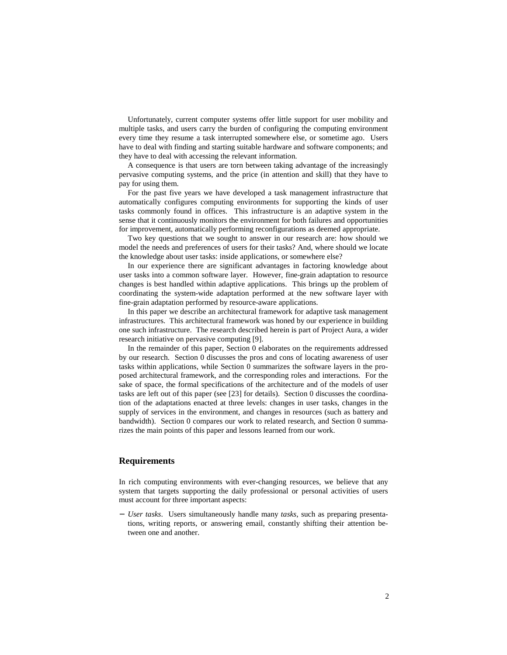Unfortunately, current computer systems offer little support for user mobility and multiple tasks, and users carry the burden of configuring the computing environment every time they resume a task interrupted somewhere else, or sometime ago. Users have to deal with finding and starting suitable hardware and software components; and they have to deal with accessing the relevant information.

A consequence is that users are torn between taking advantage of the increasingly pervasive computing systems, and the price (in attention and skill) that they have to pay for using them.

For the past five years we have developed a task management infrastructure that automatically configures computing environments for supporting the kinds of user tasks commonly found in offices. This infrastructure is an adaptive system in the sense that it continuously monitors the environment for both failures and opportunities for improvement, automatically performing reconfigurations as deemed appropriate.

Two key questions that we sought to answer in our research are: how should we model the needs and preferences of users for their tasks? And, where should we locate the knowledge about user tasks: inside applications, or somewhere else?

In our experience there are significant advantages in factoring knowledge about user tasks into a common software layer. However, fine-grain adaptation to resource changes is best handled within adaptive applications. This brings up the problem of coordinating the system-wide adaptation performed at the new software layer with fine-grain adaptation performed by resource-aware applications.

In this paper we describe an architectural framework for adaptive task management infrastructures. This architectural framework was honed by our experience in building one such infrastructure. The research described herein is part of Project Aura, a wider research initiative on pervasive computing [9].

In the remainder of this paper, Section 0 elaborates on the requirements addressed by our research. Section 0 discusses the pros and cons of locating awareness of user tasks within applications, while Section 0 summarizes the software layers in the proposed architectural framework, and the corresponding roles and interactions. For the sake of space, the formal specifications of the architecture and of the models of user tasks are left out of this paper (see [23] for details). Section 0 discusses the coordination of the adaptations enacted at three levels: changes in user tasks, changes in the supply of services in the environment, and changes in resources (such as battery and bandwidth). Section 0 compares our work to related research, and Section 0 summarizes the main points of this paper and lessons learned from our work.

#### **Requirements**

In rich computing environments with ever-changing resources, we believe that any system that targets supporting the daily professional or personal activities of users must account for three important aspects:

− *User tasks*. Users simultaneously handle many *tasks*, such as preparing presentations, writing reports, or answering email, constantly shifting their attention between one and another.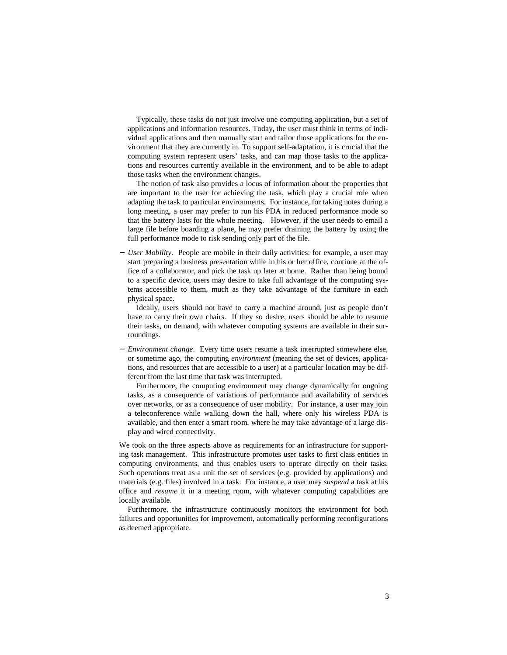Typically, these tasks do not just involve one computing application, but a set of applications and information resources. Today, the user must think in terms of individual applications and then manually start and tailor those applications for the environment that they are currently in. To support self-adaptation, it is crucial that the computing system represent users' tasks, and can map those tasks to the applications and resources currently available in the environment, and to be able to adapt those tasks when the environment changes.

The notion of task also provides a locus of information about the properties that are important to the user for achieving the task, which play a crucial role when adapting the task to particular environments. For instance, for taking notes during a long meeting, a user may prefer to run his PDA in reduced performance mode so that the battery lasts for the whole meeting. However, if the user needs to email a large file before boarding a plane, he may prefer draining the battery by using the full performance mode to risk sending only part of the file.

*User Mobility*. People are mobile in their daily activities: for example, a user may start preparing a business presentation while in his or her office, continue at the office of a collaborator, and pick the task up later at home. Rather than being bound to a specific device, users may desire to take full advantage of the computing systems accessible to them, much as they take advantage of the furniture in each physical space.

Ideally, users should not have to carry a machine around, just as people don't have to carry their own chairs. If they so desire, users should be able to resume their tasks, on demand, with whatever computing systems are available in their surroundings.

− *Environment change*. Every time users resume a task interrupted somewhere else, or sometime ago, the computing *environment* (meaning the set of devices, applications, and resources that are accessible to a user) at a particular location may be different from the last time that task was interrupted.

Furthermore, the computing environment may change dynamically for ongoing tasks, as a consequence of variations of performance and availability of services over networks, or as a consequence of user mobility. For instance, a user may join a teleconference while walking down the hall, where only his wireless PDA is available, and then enter a smart room, where he may take advantage of a large display and wired connectivity.

We took on the three aspects above as requirements for an infrastructure for supporting task management. This infrastructure promotes user tasks to first class entities in computing environments, and thus enables users to operate directly on their tasks. Such operations treat as a unit the set of services (e.g. provided by applications) and materials (e.g. files) involved in a task. For instance, a user may *suspend* a task at his office and *resume* it in a meeting room, with whatever computing capabilities are locally available.

Furthermore, the infrastructure continuously monitors the environment for both failures and opportunities for improvement, automatically performing reconfigurations as deemed appropriate.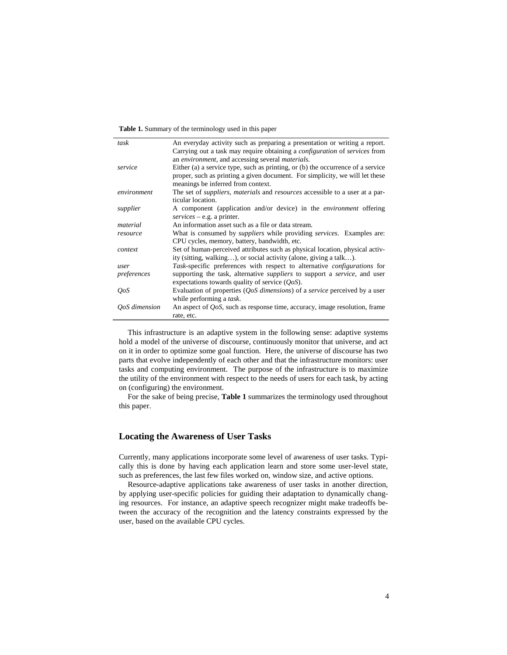**Table 1.** Summary of the terminology used in this paper

| task                        | An everyday activity such as preparing a presentation or writing a report.                         |  |
|-----------------------------|----------------------------------------------------------------------------------------------------|--|
|                             | Carrying out a task may require obtaining a <i>configuration</i> of <i>services</i> from           |  |
|                             | an environment, and accessing several materials.                                                   |  |
| service                     | Either (a) a service type, such as printing, or (b) the occurrence of a service                    |  |
|                             | proper, such as printing a given document. For simplicity, we will let these                       |  |
|                             | meanings be inferred from context.                                                                 |  |
| environment                 | The set of <i>suppliers</i> , <i>materials</i> and <i>resources</i> accessible to a user at a par- |  |
|                             | ticular location.                                                                                  |  |
| supplier                    | A component (application and/or device) in the <i>environment</i> offering                         |  |
|                             | $s$ ervices – e.g. a printer.                                                                      |  |
| material                    | An information asset such as a file or data stream.                                                |  |
| resource                    | What is consumed by <i>suppliers</i> while providing <i>services</i> . Examples are:               |  |
|                             | CPU cycles, memory, battery, bandwidth, etc.                                                       |  |
| context                     | Set of human-perceived attributes such as physical location, physical activ-                       |  |
|                             | ity (sitting, walking), or social activity (alone, giving a talk).                                 |  |
| user                        | <i>Task</i> -specific preferences with respect to alternative <i>configurations</i> for            |  |
| preferences                 | supporting the task, alternative <i>suppliers</i> to support a <i>service</i> , and user           |  |
|                             | expectations towards quality of service $(QoS)$ .                                                  |  |
| $O \circ S$                 | Evaluation of properties $(QoS$ dimensions) of a service perceived by a user                       |  |
|                             | while performing a <i>task</i> .                                                                   |  |
| <i><b>OoS</b></i> dimension | An aspect of $Q_0S$ , such as response time, accuracy, image resolution, frame                     |  |
|                             | rate, etc.                                                                                         |  |

This infrastructure is an adaptive system in the following sense: adaptive systems hold a model of the universe of discourse, continuously monitor that universe, and act on it in order to optimize some goal function. Here, the universe of discourse has two parts that evolve independently of each other and that the infrastructure monitors: user tasks and computing environment. The purpose of the infrastructure is to maximize the utility of the environment with respect to the needs of users for each task, by acting on (configuring) the environment.

For the sake of being precise, **Table 1** summarizes the terminology used throughout this paper.

# **Locating the Awareness of User Tasks**

Currently, many applications incorporate some level of awareness of user tasks. Typically this is done by having each application learn and store some user-level state, such as preferences, the last few files worked on, window size, and active options.

Resource-adaptive applications take awareness of user tasks in another direction, by applying user-specific policies for guiding their adaptation to dynamically changing resources. For instance, an adaptive speech recognizer might make tradeoffs between the accuracy of the recognition and the latency constraints expressed by the user, based on the available CPU cycles.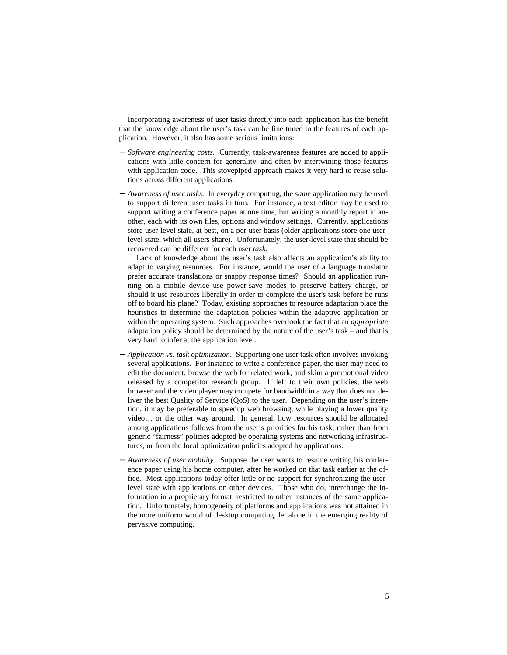Incorporating awareness of user tasks directly into each application has the benefit that the knowledge about the user's task can be fine tuned to the features of each application. However, it also has some serious limitations:

- − *Software engineering costs*. Currently, task-awareness features are added to applications with little concern for generality, and often by intertwining those features with application code. This stovepiped approach makes it very hard to reuse solutions across different applications.
- − *Awareness of user tasks*. In everyday computing, the *same* application may be used to support different user tasks in turn. For instance, a text editor may be used to support writing a conference paper at one time, but writing a monthly report in another, each with its own files, options and window settings. Currently, applications store user-level state, at best, on a per-user basis (older applications store one userlevel state, which all users share). Unfortunately, the user-level state that should be recovered can be different for each user *task*.

Lack of knowledge about the user's task also affects an application's ability to adapt to varying resources. For instance, would the user of a language translator prefer accurate translations or snappy response times? Should an application running on a mobile device use power-save modes to preserve battery charge, or should it use resources liberally in order to complete the user's task before he runs off to board his plane? Today, existing approaches to resource adaptation place the heuristics to determine the adaptation policies within the adaptive application or within the operating system. Such approaches overlook the fact that an *appropriate* adaptation policy should be determined by the nature of the user's task – and that is very hard to infer at the application level.

- − *Application vs. task optimization*. Supporting one user task often involves invoking several applications. For instance to write a conference paper, the user may need to edit the document, browse the web for related work, and skim a promotional video released by a competitor research group. If left to their own policies, the web browser and the video player may compete for bandwidth in a way that does not deliver the best Quality of Service (QoS) to the user. Depending on the user's intention, it may be preferable to speedup web browsing, while playing a lower quality video… or the other way around. In general, how resources should be allocated among applications follows from the user's priorities for his task, rather than from generic "fairness" policies adopted by operating systems and networking infrastructures, or from the local optimization policies adopted by applications.
- − *Awareness of user mobility*. Suppose the user wants to resume writing his conference paper using his home computer, after he worked on that task earlier at the office. Most applications today offer little or no support for synchronizing the userlevel state with applications on other devices. Those who do, interchange the information in a proprietary format, restricted to other instances of the same application. Unfortunately, homogeneity of platforms and applications was not attained in the more uniform world of desktop computing, let alone in the emerging reality of pervasive computing.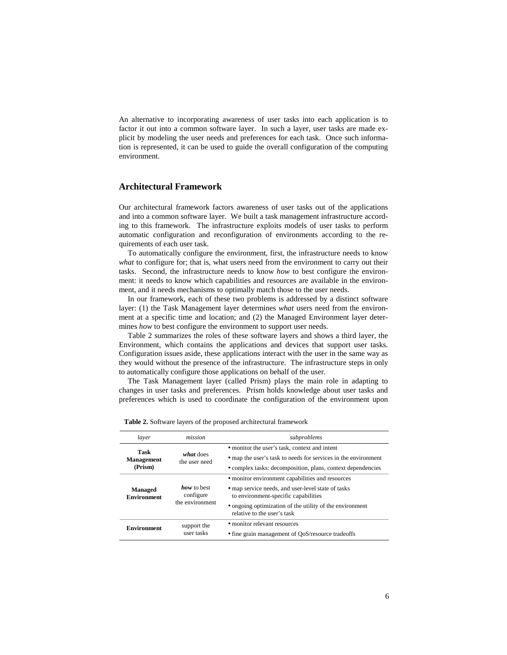An alternative to incorporating awareness of user tasks into each application is to factor it out into a common software layer. In such a layer, user tasks are made explicit by modeling the user needs and preferences for each task. Once such information is represented, it can be used to guide the overall configuration of the computing environment.

# **Architectural Framework**

Our architectural framework factors awareness of user tasks out of the applications and into a common software layer. We built a task management infrastructure according to this framework. The infrastructure exploits models of user tasks to perform automatic configuration and reconfiguration of environments according to the requirements of each user task.

To automatically configure the environment, first, the infrastructure needs to know *what* to configure for; that is, what users need from the environment to carry out their tasks. Second, the infrastructure needs to know *how* to best configure the environment: it needs to know which capabilities and resources are available in the environment, and it needs mechanisms to optimally match those to the user needs.

In our framework, each of these two problems is addressed by a distinct software layer: (1) the Task Management layer determines *what* users need from the environment at a specific time and location; and (2) the Managed Environment layer determines *how* to best configure the environment to support user needs.

Table 2 summarizes the roles of these software layers and shows a third layer, the Environment, which contains the applications and devices that support user tasks. Configuration issues aside, these applications interact with the user in the same way as they would without the presence of the infrastructure. The infrastructure steps in only to automatically configure those applications on behalf of the user.

The Task Management layer (called Prism) plays the main role in adapting to changes in user tasks and preferences. Prism holds knowledge about user tasks and preferences which is used to coordinate the configuration of the environment upon

| laver                                | mission                                     | subproblems                                                                                |
|--------------------------------------|---------------------------------------------|--------------------------------------------------------------------------------------------|
| Task<br><b>Management</b><br>(Prism) | what does<br>the user need                  | • monitor the user's task, context and intent                                              |
|                                      |                                             | • map the user's task to needs for services in the environment                             |
|                                      |                                             | • complex tasks: decomposition, plans, context dependencies                                |
| Managed<br><b>Environment</b>        | how to best<br>configure<br>the environment | • monitor environment capabilities and resources                                           |
|                                      |                                             | • map service needs, and user-level state of tasks<br>to environment-specific capabilities |
|                                      |                                             | • ongoing optimization of the utility of the environment<br>relative to the user's task    |
| <b>Environment</b>                   | support the<br>user tasks                   | • monitor relevant resources                                                               |
|                                      |                                             | • fine grain management of OoS/resource tradeoffs                                          |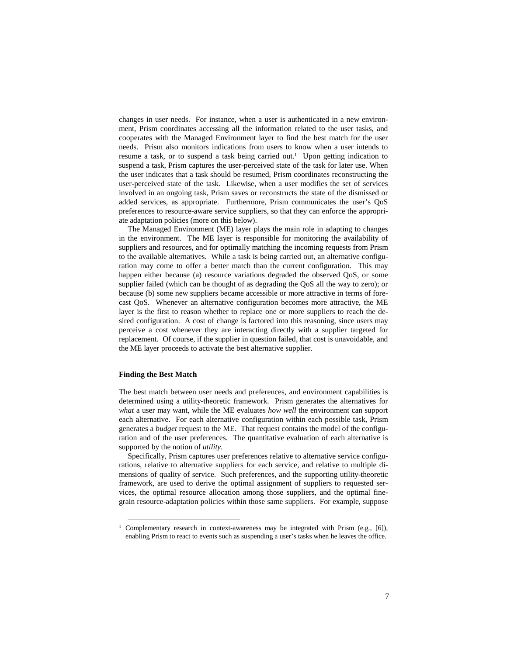changes in user needs. For instance, when a user is authenticated in a new environment, Prism coordinates accessing all the information related to the user tasks, and cooperates with the Managed Environment layer to find the best match for the user needs. Prism also monitors indications from users to know when a user intends to resume a task, or to suspend a task being carried out. <sup>1</sup> Upon getting indication to suspend a task, Prism captures the user-perceived state of the task for later use. When the user indicates that a task should be resumed, Prism coordinates reconstructing the user-perceived state of the task. Likewise, when a user modifies the set of services involved in an ongoing task, Prism saves or reconstructs the state of the dismissed or added services, as appropriate. Furthermore, Prism communicates the user's QoS preferences to resource-aware service suppliers, so that they can enforce the appropriate adaptation policies (more on this below).

The Managed Environment (ME) layer plays the main role in adapting to changes in the environment. The ME layer is responsible for monitoring the availability of suppliers and resources, and for optimally matching the incoming requests from Prism to the available alternatives. While a task is being carried out, an alternative configuration may come to offer a better match than the current configuration. This may happen either because (a) resource variations degraded the observed QoS, or some supplier failed (which can be thought of as degrading the QoS all the way to zero); or because (b) some new suppliers became accessible or more attractive in terms of forecast QoS. Whenever an alternative configuration becomes more attractive, the ME layer is the first to reason whether to replace one or more suppliers to reach the desired configuration. A cost of change is factored into this reasoning, since users may perceive a cost whenever they are interacting directly with a supplier targeted for replacement. Of course, if the supplier in question failed, that cost is unavoidable, and the ME layer proceeds to activate the best alternative supplier.

#### **Finding the Best Match**

The best match between user needs and preferences, and environment capabilities is determined using a utility-theoretic framework. Prism generates the alternatives for *what* a user may want, while the ME evaluates *how well* the environment can support each alternative. For each alternative configuration within each possible task, Prism generates a *budget* request to the ME. That request contains the model of the configuration and of the user preferences. The quantitative evaluation of each alternative is supported by the notion of *utility*.

Specifically, Prism captures user preferences relative to alternative service configurations, relative to alternative suppliers for each service, and relative to multiple dimensions of quality of service. Such preferences, and the supporting utility-theoretic framework, are used to derive the optimal assignment of suppliers to requested services, the optimal resource allocation among those suppliers, and the optimal finegrain resource-adaptation policies within those same suppliers. For example, suppose

<sup>&</sup>lt;sup>1</sup> Complementary research in context-awareness may be integrated with Prism (e.g., [6]), enabling Prism to react to events such as suspending a user's tasks when he leaves the office.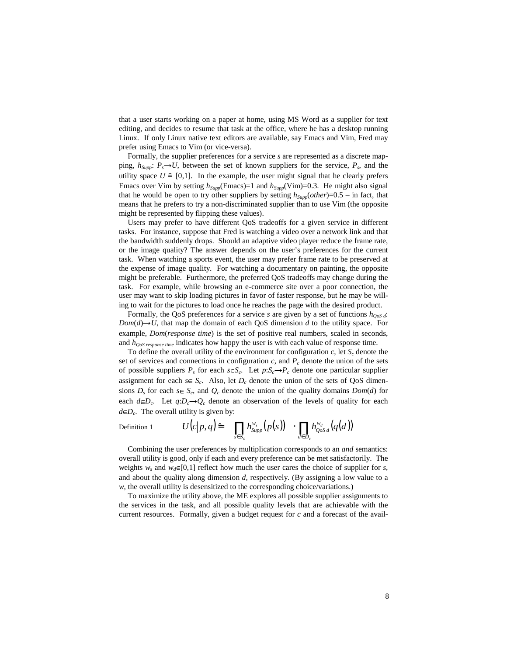that a user starts working on a paper at home, using MS Word as a supplier for text editing, and decides to resume that task at the office, where he has a desktop running Linux. If only Linux native text editors are available, say Emacs and Vim, Fred may prefer using Emacs to Vim (or vice-versa).

Formally, the supplier preferences for a service *s* are represented as a discrete mapping,  $h_{Supp}: P_s \to U$ , between the set of known suppliers for the service,  $P_s$ , and the utility space  $U \cong [0,1]$ . In the example, the user might signal that he clearly prefers Emacs over Vim by setting  $h_{Supp}$ (Emacs)=1 and  $h_{Supp}$ (Vim)=0.3. He might also signal that he would be open to try other suppliers by setting  $h_{Supp}(other) = 0.5$  – in fact, that means that he prefers to try a non-discriminated supplier than to use Vim (the opposite might be represented by flipping these values).

Users may prefer to have different QoS tradeoffs for a given service in different tasks. For instance, suppose that Fred is watching a video over a network link and that the bandwidth suddenly drops. Should an adaptive video player reduce the frame rate, or the image quality? The answer depends on the user's preferences for the current task. When watching a sports event, the user may prefer frame rate to be preserved at the expense of image quality. For watching a documentary on painting, the opposite might be preferable. Furthermore, the preferred QoS tradeoffs may change during the task. For example, while browsing an e-commerce site over a poor connection, the user may want to skip loading pictures in favor of faster response, but he may be willing to wait for the pictures to load once he reaches the page with the desired product.

Formally, the QoS preferences for a service *s* are given by a set of functions *hQoS <sup>d</sup>*:  $Dom(d) \rightarrow U$ , that map the domain of each QoS dimension *d* to the utility space. For example, *Dom*(*response time*) is the set of positive real numbers, scaled in seconds, and *hQoS response time* indicates how happy the user is with each value of response time.

To define the overall utility of the environment for configuration  $c$ , let  $S_c$  denote the set of services and connections in configuration  $c$ , and  $P_c$  denote the union of the sets of possible suppliers  $P_s$  for each  $s \in S_c$ . Let  $p: S_c \to P_c$  denote one particular supplier assignment for each  $s \in S_c$ . Also, let  $D_c$  denote the union of the sets of QoS dimensions  $D_s$  for each  $s \in S_c$ , and  $Q_c$  denote the union of the quality domains  $Dom(d)$  for each  $d \in D_c$ . Let  $q: D_c \rightarrow Q_c$  denote an observation of the levels of quality for each  $d \in D_c$ . The overall utility is given by:

Definition 1 
$$
U(c|p,q) \triangleq \prod_{s \in S_c} h_{\text{Supp}}^{w_s}(p(s)) \cdot \prod_{d \in D_c} h_{\text{QoS }d}^{w_d}(q(d))
$$

Combining the user preferences by multiplication corresponds to an *and* semantics: overall utility is good, only if each and every preference can be met satisfactorily. The weights  $w_s$  and  $w_d \in [0,1]$  reflect how much the user cares the choice of supplier for *s*, and about the quality along dimension *d*, respectively. (By assigning a low value to a *w*, the overall utility is desensitized to the corresponding choice/variations.)

To maximize the utility above, the ME explores all possible supplier assignments to the services in the task, and all possible quality levels that are achievable with the current resources. Formally, given a budget request for *c* and a forecast of the avail-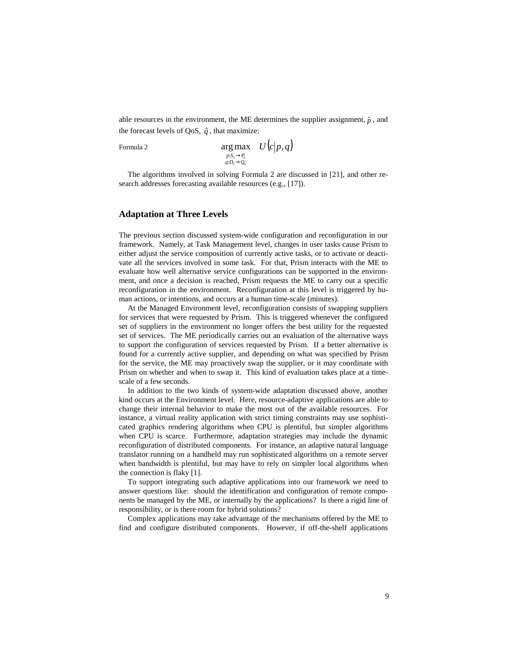able resources in the environment, the ME determines the supplier assignment,  $\hat{p}$ , and the forecast levels of QoS,  $\hat{q}$ , that maximize:

Formula 2 *U*(*c p q*)

$$
\argmax_{\substack{p : S_c \to P_c \\ q : D_c \to Q_c}} \quad U\big(c\big|p, q\big)
$$

The algorithms involved in solving Formula 2 are discussed in [21], and other research addresses forecasting available resources (e.g., [17]).

# **Adaptation at Three Levels**

The previous section discussed system-wide configuration and reconfiguration in our framework. Namely, at Task Management level, changes in user tasks cause Prism to either adjust the service composition of currently active tasks, or to activate or deactivate all the services involved in some task. For that, Prism interacts with the ME to evaluate how well alternative service configurations can be supported in the environment, and once a decision is reached, Prism requests the ME to carry out a specific reconfiguration in the environment. Reconfiguration at this level is triggered by human actions, or intentions, and occurs at a human time-scale (minutes).

At the Managed Environment level, reconfiguration consists of swapping suppliers for services that were requested by Prism. This is triggered whenever the configured set of suppliers in the environment no longer offers the best utility for the requested set of services. The ME periodically carries out an evaluation of the alternative ways to support the configuration of services requested by Prism. If a better alternative is found for a currently active supplier, and depending on what was specified by Prism for the service, the ME may proactively swap the supplier, or it may coordinate with Prism on whether and when to swap it. This kind of evaluation takes place at a timescale of a few seconds.

In addition to the two kinds of system-wide adaptation discussed above, another kind occurs at the Environment level. Here, resource-adaptive applications are able to change their internal behavior to make the most out of the available resources. For instance, a virtual reality application with strict timing constraints may use sophisticated graphics rendering algorithms when CPU is plentiful, but simpler algorithms when CPU is scarce. Furthermore, adaptation strategies may include the dynamic reconfiguration of distributed components. For instance, an adaptive natural language translator running on a handheld may run sophisticated algorithms on a remote server when bandwidth is plentiful, but may have to rely on simpler local algorithms when the connection is flaky [1].

To support integrating such adaptive applications into our framework we need to answer questions like: should the identification and configuration of remote components be managed by the ME, or internally by the applications? Is there a rigid line of responsibility, or is there room for hybrid solutions?

Complex applications may take advantage of the mechanisms offered by the ME to find and configure distributed components. However, if off-the-shelf applications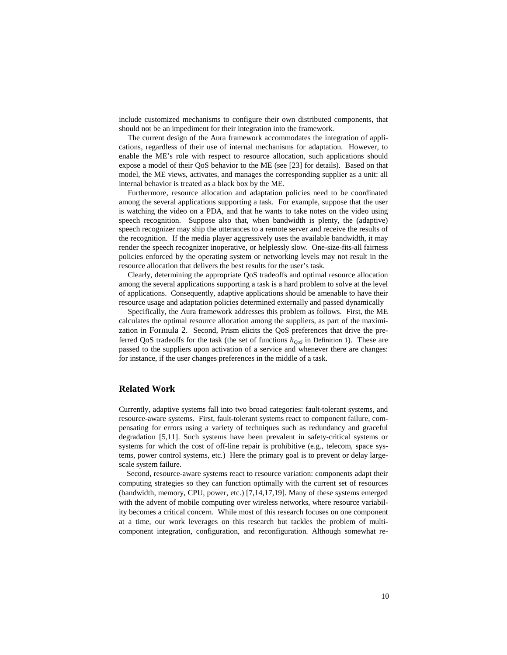include customized mechanisms to configure their own distributed components, that should not be an impediment for their integration into the framework.

The current design of the Aura framework accommodates the integration of applications, regardless of their use of internal mechanisms for adaptation. However, to enable the ME's role with respect to resource allocation, such applications should expose a model of their QoS behavior to the ME (see [23] for details). Based on that model, the ME views, activates, and manages the corresponding supplier as a unit: all internal behavior is treated as a black box by the ME.

Furthermore, resource allocation and adaptation policies need to be coordinated among the several applications supporting a task. For example, suppose that the user is watching the video on a PDA, and that he wants to take notes on the video using speech recognition. Suppose also that, when bandwidth is plenty, the (adaptive) speech recognizer may ship the utterances to a remote server and receive the results of the recognition. If the media player aggressively uses the available bandwidth, it may render the speech recognizer inoperative, or helplessly slow. One-size-fits-all fairness policies enforced by the operating system or networking levels may not result in the resource allocation that delivers the best results for the user's task.

Clearly, determining the appropriate QoS tradeoffs and optimal resource allocation among the several applications supporting a task is a hard problem to solve at the level of applications. Consequently, adaptive applications should be amenable to have their resource usage and adaptation policies determined externally and passed dynamically

Specifically, the Aura framework addresses this problem as follows. First, the ME calculates the optimal resource allocation among the suppliers, as part of the maximization in Formula 2. Second, Prism elicits the QoS preferences that drive the preferred QoS tradeoffs for the task (the set of functions *hQoS* in Definition 1). These are passed to the suppliers upon activation of a service and whenever there are changes: for instance, if the user changes preferences in the middle of a task.

# **Related Work**

Currently, adaptive systems fall into two broad categories: fault-tolerant systems, and resource-aware systems. First, fault-tolerant systems react to component failure, compensating for errors using a variety of techniques such as redundancy and graceful degradation [5,11]. Such systems have been prevalent in safety-critical systems or systems for which the cost of off-line repair is prohibitive (e.g., telecom, space systems, power control systems, etc.) Here the primary goal is to prevent or delay largescale system failure.

Second, resource-aware systems react to resource variation: components adapt their computing strategies so they can function optimally with the current set of resources (bandwidth, memory, CPU, power, etc.) [7,14,17,19]. Many of these systems emerged with the advent of mobile computing over wireless networks, where resource variability becomes a critical concern. While most of this research focuses on one component at a time, our work leverages on this research but tackles the problem of multicomponent integration, configuration, and reconfiguration. Although somewhat re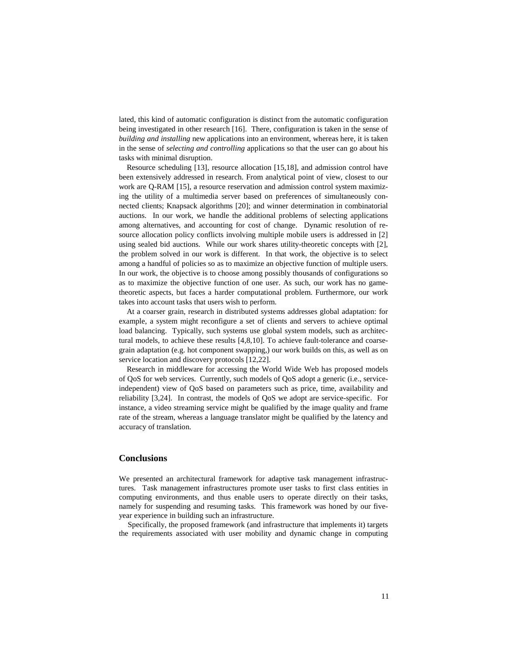lated, this kind of automatic configuration is distinct from the automatic configuration being investigated in other research [16]. There, configuration is taken in the sense of *building and installing* new applications into an environment, whereas here, it is taken in the sense of *selecting and controlling* applications so that the user can go about his tasks with minimal disruption.

Resource scheduling [13], resource allocation [15,18], and admission control have been extensively addressed in research. From analytical point of view, closest to our work are Q-RAM [15], a resource reservation and admission control system maximizing the utility of a multimedia server based on preferences of simultaneously connected clients; Knapsack algorithms [20]; and winner determination in combinatorial auctions. In our work, we handle the additional problems of selecting applications among alternatives, and accounting for cost of change. Dynamic resolution of resource allocation policy conflicts involving multiple mobile users is addressed in [2] using sealed bid auctions. While our work shares utility-theoretic concepts with [2], the problem solved in our work is different. In that work, the objective is to select among a handful of policies so as to maximize an objective function of multiple users. In our work, the objective is to choose among possibly thousands of configurations so as to maximize the objective function of one user. As such, our work has no gametheoretic aspects, but faces a harder computational problem. Furthermore, our work takes into account tasks that users wish to perform.

At a coarser grain, research in distributed systems addresses global adaptation: for example, a system might reconfigure a set of clients and servers to achieve optimal load balancing. Typically, such systems use global system models, such as architectural models, to achieve these results [4,8,10]. To achieve fault-tolerance and coarsegrain adaptation (e.g. hot component swapping,) our work builds on this, as well as on service location and discovery protocols [12,22].

Research in middleware for accessing the World Wide Web has proposed models of QoS for web services. Currently, such models of QoS adopt a generic (i.e., serviceindependent) view of QoS based on parameters such as price, time, availability and reliability [3,24]. In contrast, the models of QoS we adopt are service-specific. For instance, a video streaming service might be qualified by the image quality and frame rate of the stream, whereas a language translator might be qualified by the latency and accuracy of translation.

# **Conclusions**

We presented an architectural framework for adaptive task management infrastructures. Task management infrastructures promote user tasks to first class entities in computing environments, and thus enable users to operate directly on their tasks, namely for suspending and resuming tasks. This framework was honed by our fiveyear experience in building such an infrastructure.

Specifically, the proposed framework (and infrastructure that implements it) targets the requirements associated with user mobility and dynamic change in computing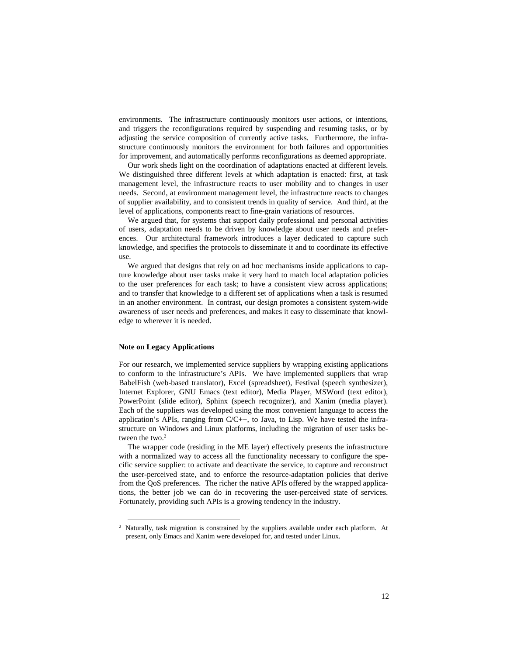environments. The infrastructure continuously monitors user actions, or intentions, and triggers the reconfigurations required by suspending and resuming tasks, or by adjusting the service composition of currently active tasks. Furthermore, the infrastructure continuously monitors the environment for both failures and opportunities for improvement, and automatically performs reconfigurations as deemed appropriate.

Our work sheds light on the coordination of adaptations enacted at different levels. We distinguished three different levels at which adaptation is enacted: first, at task management level, the infrastructure reacts to user mobility and to changes in user needs. Second, at environment management level, the infrastructure reacts to changes of supplier availability, and to consistent trends in quality of service. And third, at the level of applications, components react to fine-grain variations of resources.

We argued that, for systems that support daily professional and personal activities of users, adaptation needs to be driven by knowledge about user needs and preferences. Our architectural framework introduces a layer dedicated to capture such knowledge, and specifies the protocols to disseminate it and to coordinate its effective use.

We argued that designs that rely on ad hoc mechanisms inside applications to capture knowledge about user tasks make it very hard to match local adaptation policies to the user preferences for each task; to have a consistent view across applications; and to transfer that knowledge to a different set of applications when a task is resumed in an another environment. In contrast, our design promotes a consistent system-wide awareness of user needs and preferences, and makes it easy to disseminate that knowledge to wherever it is needed.

#### **Note on Legacy Applications**

For our research, we implemented service suppliers by wrapping existing applications to conform to the infrastructure's APIs. We have implemented suppliers that wrap BabelFish (web-based translator), Excel (spreadsheet), Festival (speech synthesizer), Internet Explorer, GNU Emacs (text editor), Media Player, MSWord (text editor), PowerPoint (slide editor), Sphinx (speech recognizer), and Xanim (media player). Each of the suppliers was developed using the most convenient language to access the application's APIs, ranging from  $C/C++$ , to Java, to Lisp. We have tested the infrastructure on Windows and Linux platforms, including the migration of user tasks between the two. 2

The wrapper code (residing in the ME layer) effectively presents the infrastructure with a normalized way to access all the functionality necessary to configure the specific service supplier: to activate and deactivate the service, to capture and reconstruct the user-perceived state, and to enforce the resource-adaptation policies that derive from the QoS preferences. The richer the native APIs offered by the wrapped applications, the better job we can do in recovering the user-perceived state of services. Fortunately, providing such APIs is a growing tendency in the industry.

<sup>&</sup>lt;sup>2</sup> Naturally, task migration is constrained by the suppliers available under each platform. At present, only Emacs and Xanim were developed for, and tested under Linux.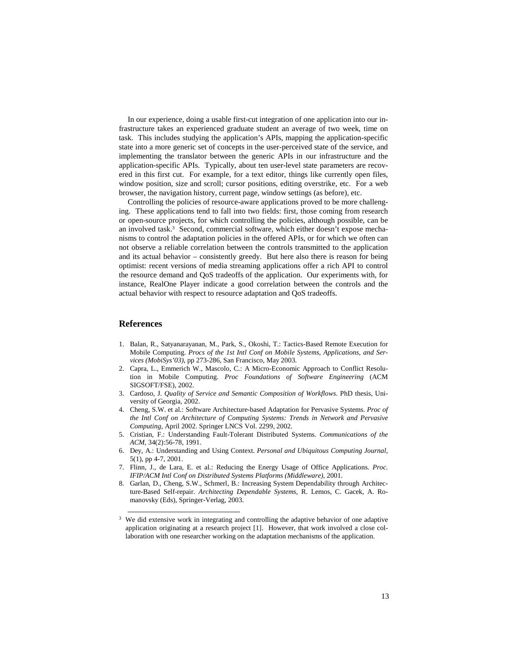In our experience, doing a usable first-cut integration of one application into our infrastructure takes an experienced graduate student an average of two week, time on task. This includes studying the application's APIs, mapping the application-specific state into a more generic set of concepts in the user-perceived state of the service, and implementing the translator between the generic APIs in our infrastructure and the application-specific APIs. Typically, about ten user-level state parameters are recovered in this first cut. For example, for a text editor, things like currently open files, window position, size and scroll; cursor positions, editing overstrike, etc. For a web browser, the navigation history, current page, window settings (as before), etc.

Controlling the policies of resource-aware applications proved to be more challenging. These applications tend to fall into two fields: first, those coming from research or open-source projects, for which controlling the policies, although possible, can be an involved task. <sup>3</sup> Second, commercial software, which either doesn't expose mechanisms to control the adaptation policies in the offered APIs, or for which we often can not observe a reliable correlation between the controls transmitted to the application and its actual behavior – consistently greedy. But here also there is reason for being optimist: recent versions of media streaming applications offer a rich API to control the resource demand and QoS tradeoffs of the application. Our experiments with, for instance, RealOne Player indicate a good correlation between the controls and the actual behavior with respect to resource adaptation and QoS tradeoffs.

## **References**

- 1. Balan, R., Satyanarayanan, M., Park, S., Okoshi, T.: Tactics-Based Remote Execution for Mobile Computing. *Procs of the 1st Intl Conf on Mobile Systems, Applications, and Services (MobiSys'03)*, pp 273-286, San Francisco, May 2003.
- 2. Capra, L., Emmerich W., Mascolo, C.: A Micro-Economic Approach to Conflict Resolution in Mobile Computing. *Proc Foundations of Software Engineering* (ACM SIGSOFT/FSE), 2002.
- 3. Cardoso, J. *Quality of Service and Semantic Composition of Workflows*. PhD thesis, University of Georgia, 2002.
- 4. Cheng, S.W. et al.: Software Architecture-based Adaptation for Pervasive Systems. *Proc of the Intl Conf on Architecture of Computing Systems: Trends in Network and Pervasive Computing*, April 2002. Springer LNCS Vol. 2299, 2002.
- 5. Cristian, F.: Understanding Fault-Tolerant Distributed Systems. *Communications of the ACM*, 34(2):56-78, 1991.
- 6. Dey, A.: Understanding and Using Context. *Personal and Ubiquitous Computing Journal*, 5(1), pp 4-7, 2001.
- 7. Flinn, J., de Lara, E. et al.: Reducing the Energy Usage of Office Applications. *Proc. IFIP/ACM Intl Conf on Distributed Systems Platforms (Middleware)*, 2001.
- 8. Garlan, D., Cheng, S.W., Schmerl, B.: Increasing System Dependability through Architecture-Based Self-repair. *Architecting Dependable Systems*, R. Lemos, C. Gacek, A. Romanovsky (Eds), Springer-Verlag, 2003.

We did extensive work in integrating and controlling the adaptive behavior of one adaptive application originating at a research project [1]. However, that work involved a close collaboration with one researcher working on the adaptation mechanisms of the application.